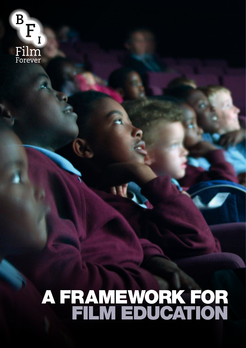E  $\mathbf{I}$ Film<br>Forever

# A FRAMEWORK FOR FILM EDUCATION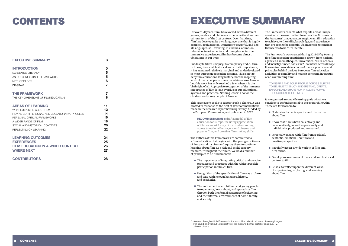# EXECUTIVE SUMMARY

For over 120 years, film 1 has evolved across different genres, modes, and platforms to become the dominant cultural form of the 21st century. Over that time, film has developed its own language, one that is highly complex, sophisticated, immensely powerful, and like all languages, still evolving. In cinemas, online, on television, in art galleries and through spectacular immersive experiences, film has become almost ubiquitous in our lives.

But despite film's ubiquity, its complexity and cultural richness, its social, historical and artistic importance, it has remained relatively marginal and underdeveloped in most European education systems. This is not to deny film education's long history, nor the inspiring work of many people in many countries across Europe; but this work has only reached a few, when it is the birthright of all. Appropriate recognition of the immense importance of film is long overdue in our educational systems and practices. Nothing less will do for the children and young people of Europe.

- The importance of integrating critical and creative practices and processes with the widest possible participation in film culture.
- $\blacksquare$  Recognition of the specificities of film as artform and text, with its own language, history, and aesthetics.
- The entitlement of all children and young people to experience, learn about, and appreciate film through both the formal structures of schooling, and the informal environments of home, family, and society.

This Framework seeks to support such a change. It was drafted in response to the first of 12 recommendations made in the research report *Screening Literacy*, funded by the European Commission, and published in 2012:

 **RECOMMENDATION 1:** draft a model of film education for Europe, including appreciation of film as an art form, critical understanding, access to national heritage, world cinema and popular film, and creative film-making skills.

The authors of this Framework are committed to a film education that begins with the youngest citizens of Europe and inspires and equips them to continue learning about film, as a rich and multi-sensory medium, throughout their lives. We hold a number of principles to be fundamental:

- Understand what is specific and distinctive about film.
- Know that film is both collectively and collaboratively, as well as personally and individually, produced and consumed.
- Personally engage with film from a critical, aesthetic, emotional, cultural and creative perspective.
- Regularly access a wide variety of film and film forms.
- Develop an awareness of the social and historical context to film.
- Be able to reflect upon the different ways of experiencing, exploring, and learning about film.

The Framework collects what experts across Europe consider to be essential in film education. It connects the 'outcomes' that educators might want film education to achieve, to the skills, knowledge, and experience that are seen to be essential if someone is to consider themselves to be 'film literate'.

The Framework was created during 2014-15 by twenty five film education practitioners, drawn from national agencies, Cinematheques, universities, NGOs, schools, and industry-funded bodies in 20 countries across Europe. It seeks to consolidate a body of theory, practices and principles behind various European film education activities, to simplify and make it coherent, in pursuit of an overarching aim:

 TO INSPIRE AND EQUIP PEOPLE ACROSS EUROPE TO BE ABLE TO ENJOY, UNDERSTAND, CREATE, EXPLORE AND SHARE FILM IN ALL ITS FORMS THROUGHOUT THEIR LIVES.

It is organised around 6 learning goals which we consider to be fundamental to the overarching Aim. These are for learners to:

**<sup>1</sup>** Here and throughout this Framework, the word 'film' refers to all forms of moving images with sound (and without!), irrespective of the medium, be that digital or analogue, TV, online or cinema.

### CONTENTS

| <b>EXECUTIVE SUMMARY</b>                        | 3  |
|-------------------------------------------------|----|
| <b>INTRODUCTION</b>                             | 5  |
| <b>SCREENING LITERACY</b>                       | 5  |
| AN OUTCOMES-BASED FRAMEWORK                     | 5  |
| <b>METHODOLOGY</b>                              | 6  |
| <b>DIAGRAM</b>                                  | 7  |
| <b>THE FRAMEWORK</b>                            | 7  |
| THE KEY DIMENSIONS OF FILM EDUCATION            | 8  |
| <b>AREAS OF LEARNING</b>                        | 11 |
| WHAT IS SPECIFIC ABOUT FILM                     | 12 |
| FILM AS BOTH PERSONAL AND COLLABORATIVE PROCESS | 14 |
| PERSONAL CRITICAL FRAMEWORKS                    | 16 |
| A WIDER RANGE OF FILM                           | 18 |
| SOCIAL AND HISTORICAL CONTEXTS                  | 20 |
| REFLECTING ON LEARNING                          | 22 |
| <b>LEARNING OUTCOMES</b>                        | 24 |
| <b>EXPERIENCES</b>                              | 25 |
| <b>FILM EDUCATION IN A WIDER CONTEXT</b>        | 26 |
| <b>WHERE NEXT</b>                               | 27 |
| <b>CONTRIBUTORS</b>                             | 28 |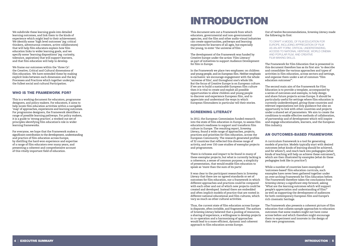We subdivide these learning goals into detailed learning outcomes, and link them to the kinds of experience which might lead to their achievement. We identify some 'high level outcomes' (eg: critical thinkers, adventurous creators, active collaborators) that will help film educators explain how film education links to wider learning goals, and we specify some 'learning dispositions' (eg: curiosity, tolerance, aspiration) that will support learners, and that film education will help to develop.

We frame our outcomes within the 'three Cs': the Creative, Critical and Cultural dimensions of film education. We have extended these by making explicit links between each dimension and the key Processes and Practices which together underpin the fullest social and cultural Participation.

#### WHO IS THE FRAMEWORK FOR?

This is a working document for educators, programme designers, and policy makers. For educators, it aims to help locate film education activities within a navigable 'map' of approaches, experiences and learning outcomes. For programme designers, the Framework identifies a range of possible learning pathways. For policy makers, it is a guide to 'strong practice', a worked-out set of principles identifying film education's role in wider learning frameworks.

For everyone, we hope that the Framework makes a significant contribution to the development, understanding and practice of film education across Europe, by distilling the hard-won experience and expertise of a range of film educators over many years, and presenting a coherent and comprehensive account of this vitally important field of education.

## INTRODUCTION

This document sets out a Framework from which educators, governmental and non-governmental agencies, and the film and other audio-visual industries can create opportunities, pathways and learning experiences for learners of all ages, but especially the young, to enter 'the universe of film.'

The development of the Framework was funded by Creative Europe under the action 'Film Literacy' as part of initiatives to support Audience Development for film in Europe.

In the Framework we place two emphases: on children and young people, and on European film. Neither emphasis is exclusive: we encourage engagement with the whole 'universe of film', and throughout one's whole life. But the focus of Creative Europe is on European culture. If we are to build a sustainable European film culture then it is vital to create and exploit all possible opportunities to allow children and young people to discover and experience European film, and to appreciate and understand the ways in which European filmmakers in particular tell their stories.

#### SCREENING LITERACY

In 2012, the European Commission funded research into the state of film education in Europe, to assess film education's readiness to support and transform film culture in Europe. The resulting report, *Screening Literacy*, found a wide range of approaches, projects, practices and priorities for film education, across the European Community. The research generated profiles of 32 countries that reflected this diverse range of activity, and over 150 case studies of exemplar projects and programmes.

There is richness and impact to be found in many of these exemplar projects; but what is currently lacking is a coherence, a sense of common purpose, a simplicity of presentation, that would enable film education to speak as 'more than the sum of its parts'.

It was clear to the participant researchers in *Screening Literacy* that there are no agreed standards or set of outcomes for film education, nor a framework in which different approaches and practices could be compared with each other and out of which new projects could be created and developed. Instead there are embedded and often implicit models of practice that are rooted in different national educational and film cultures, which vary as much as other cultural activities.

Thus, the current state of film education across Europe is disparate, often invisible, and fragmented. The authors of *Screening Literacy* believed that a pooling of resources, a sharing of experience, a willingness to develop projects in co-operation and a harmonising of approaches would lead to a more efficient, dynamic and coherent approach to film education across Europe.



#### Out of twelve Recommendations, *Screening Literacy* made the following its first:

 TO DRAFT A MODEL OF FILM EDUCATION FOR EUROPE, INCLUDING APPRECIATION OF FILM AS AN ART FORM, CRITICAL UNDERSTANDING, ACCESS TO NATIONAL HERITAGE, WORLD CINEMA AND POPULAR FILM, AND CREATIVE FILM-MAKING SKILLS.

The Framework for Film Education that is presented in this document therefore has as its first aim 'to describe and consolidate the various approaches and types of activities in film education, across sectors and settings, and organise them under a set of common "film education outcomes"'.

The second main aim of the Framework for Film Education is to provide a template, accompanied by a series of outcomes and exempla, to help design and share future projects across Europe. It should be particularly useful for settings where film education is currently underdeveloped, giving those countries and relevant organisations not only guidance but also an opportunity to link with other countries and projects under a shared set of parameters. We aim to create the conditions to enable effective methods of collaboration, of partnership and of development which will inspire and engage educationalists, learners, and the European film industry.

#### AN OUTCOMES-BASED FRAMEWORK

A curriculum framework is a tool for generating models of practice. Models typically start with desired outcomes (what kinds of learning should be achieved, and for whom?), and reach back into pedagogies (what kinds of teaching will help us achieve these outcomes?), which are then illustrated by examples (what do these pedagogies look like in practice?)

While a number of countries have examples of 'outcomes-based' film education curricula, such examples have never been gathered together under an over-arching Framework for Film Education before. The Framework therefore takes the conclusions from *Screening Literacy* a significant step forward, asking 'What are the learning outcomes which will support people's appreciation and understanding of film?' as well as supporting the development of audiences for both contemporary European film and Europe's rich cinematic heritage.

The Framework also presents a coherent picture of film education that collates sample approaches to education outcomes that some readers might not have come across before and which therefore might encourage them to experiment and innovate in the design of their own programmes.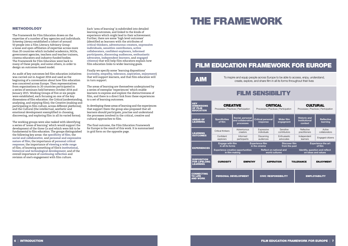#### METHODOLOGY

The Framework for Film Education draws on the expertise of a number of key agencies and individuals. *Screening Literacy* established a cohort of around 50 people into a Film Literacy Advisory Group: a loose and open affiliation of expertise across more than 20 countries which included academics, NGOs, government agencies, teachers and teacher trainers, cinema educators and industry-funded bodies. The Framework for Film Education went back to many of these people, and some others, in order to design an outcomes-based model.

An audit of key outcomes-led film education initiatives was carried out in August 2014 and used as the beginning of a conversation about how film education was conceived across Europe. Then representatives from organisations in 20 countries participated in a series of seminars held between October 2014 and January 2015. Working Groups of five or six people were established, each focusing on one of the key dimensions of film education: the Critical (understanding, analysing, and enjoying film); the Creative (making and participating in film culture, across different platforms); and the Cultural (the intellectual, aesthetic and emotional development exemplified in choosing, discovering, and exploring film in all its varied forms).

The working groups were also tasked with identifying a series of 'areas of learning' which would support the development of the three Cs and which were felt to be fundamental to film education. The groups distinguished the following key areas: the specificity of film; the social and collaborative, and personal and expressive nature of film; the importance of personal critical response; the importance of viewing a wide range of film; of knowing something of film's institutional, historical and technological development; and of the overall importance of continuing reflection and revision of one's engagement with film culture.

To inspire and equip people across Europe to be able to access, enjoy, understand, create, explore, and share film in all its forms throughout their lives

Each 'area of learning' is subdivided into detailed learning outcomes, and linked to the kinds of experience which might lead to their achievement. Further, there are some 'high level outcomes' (identified as learners with the attributes of critical thinkers, adventurous creators, expressive individuals, sensitive contributors, active collaborators, confident explorers, informed participants, discerning audiences, enthusiastic advocates, independent learners, and engaged citizens) that will help film educators explain how film education links to wider learning goals.

Finally we specify some 'learning dispositions' (curiosity, empathy, tolerance, aspiration, enjoyment) that will support learners, and that film education will in turn support.

The areas of learning are themselves underpinned by a series of exemplar 'experiences' which enable learners to express and explore the distinctiveness of film, and there is a direct link from these experiences to a set of learning outcomes.

In developing these areas of learning and the experiences that support them the group also proposed that all learners should participate, practise and understand the processes involved in the critical, creative and cultural approaches to film.

The final outcome, the Film Education Framework for Europe is the result of this work. It is summarised in grid form on the opposite page.

### THE FRAMEWORK

### FILM EDUCATION FRAMEWORK FOR EUROPE

### FILM SENSIBILITY

| <b>KEY</b><br><b>DIMENSIONS</b><br><b>OF FILM</b><br><b>EDUCATION</b> | <b>CREATIVE</b><br>Processes   Practices   Participation   |                                                    | <b>CRITICAL</b><br>Processes   Practices   Participation |                           |                                       |                                                       | <b>CULTURAL</b><br>Processes   Practices   Participation |                  |                               |
|-----------------------------------------------------------------------|------------------------------------------------------------|----------------------------------------------------|----------------------------------------------------------|---------------------------|---------------------------------------|-------------------------------------------------------|----------------------------------------------------------|------------------|-------------------------------|
| <b>AREAS OF</b><br><b>LEARNING</b>                                    | <b>Specificities</b><br>of film                            | Social, personal<br>and collaborative<br>processes | <b>Critical personal</b><br>response                     |                           | <b>Wider film</b><br>engagment        |                                                       | <b>Historic and</b><br><b>Institutional</b><br>context   |                  | <b>Reflective</b><br>learning |
| <b>LEARNING</b>                                                       | Critical thinkers                                          | Adventurous<br>creators                            |                                                          | Expressive<br>individuals | Sensitive<br>contributors             |                                                       | Reflective<br>practitioners                              |                  | Active<br>collaborators       |
| <b>OUTCOMES</b>                                                       | Confident<br>explorers                                     | Informed<br>participants                           | Discerning<br>audiences                                  |                           | Enthusiastic<br>advocates             |                                                       | Independent<br>learners                                  |                  | Engaged citizens              |
| <b>EXPERIENCES</b>                                                    | <b>Engage with film</b><br>in all its forms                |                                                    | <b>Experience film</b><br>in the cinema                  |                           | <b>Discover film</b><br>from the past |                                                       | <b>Experience the art</b><br>of film                     |                  |                               |
|                                                                       | <b>Experience creative opportunities</b><br>in film making | <b>Reflect on national and</b><br>world cultures   |                                                          |                           |                                       | Identify, question and reflect<br>on ideas and values |                                                          |                  |                               |
| <b>DISPOSITION</b><br><b>FOR LIFELONG</b><br><b>LEARNING</b>          | <b>CURIOSITY</b><br><b>EMPATHY</b>                         |                                                    | <b>ASPIRATION</b>                                        |                           |                                       | <b>TOLERANCE</b>                                      |                                                          | <b>ENJOYMENT</b> |                               |
| <b>CONNECTING</b><br><b>TO LIFE</b><br>AND WORK                       | <b>PERSONAL DEVELOPMENT</b>                                |                                                    | <b>CIVIC RESPONSIBILITY</b>                              |                           |                                       |                                                       | <b>EMPLOYABILITY</b>                                     |                  |                               |

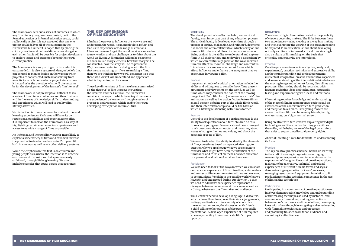The Framework sets out a series of outcomes to which any film literacy programme or project, be it in the formal education or informal education sector, could realistically aspire. It is not expected that any one project could deliver all of the outcomes in the Framework, but rather it is hoped that by placing the critical, creative and cultural dimensions alongside each other that it will be possible for project developers to explore issues and outcomes beyond their own current practice.

The Framework is a supporting structure which is outcome-led. It is also a system of ideas, or beliefs that can be used to plan or decide on the ways in which projects are constructed. Instead of starting from an activity in isolation – what a project aims to do – it instead asks the question 'what will the outcome be for the development of the learner's film literacy?'

The Framework is not prescriptive. Rather, it takes a series of film literacy outcomes and then fits them within the areas of knowledge, skills, understanding and experiences which will lead to quality film literacy activities.

No distinction is drawn between formal and informal learning experiences. Each area will have its own restrictions, possibilities and experiences to offer. It is important to look on the Framework as a way of highlighting certain competencies, experiences and access to as wide a range of films as possible.

An informed and literate film viewer is more likely to explore a wide variety of films and thus will increase the potential to develop audiences for European film both in cinemas as well as via other delivery systems.

While the emphasis in this text is on children and young people as learners, the intention is to describe outcomes and dispositions that span from early childhood, through lifelong learning. We aim to include examples that speak across that age range.

#### THE KEY DIMENSIONS OF FILM EDUCATION

Film has the power to influence the way we see and understand the world. It can manipulate, reflect and lead us to experience a wide range of emotions. Film can make us forget the world outside, can lead us to new worlds, and can challenge us to think about the world we live in. A filmmaker will make selections – of shots, music, story elements, how that story will be constructed, how the story will be re-presented. We, the viewer, enter into a dialogue with the film that we are watching, or, if we are making a film, then we are thinking how we will construct it so that those who view it will understand and appreciate what is happening on the screen.

These key dimensions of film have been summarised as 'the three Cs' of film literacy: the Critical, the Creative and the Cultural. The Framework considers the ways in which these key dimensions are experienced by learners – through a series of Processes and Practices, which enable their own developing Participation in film culture.

#### **CRITICAL**

The development of a reflective habit, and a critical faculty, is an important part of any education process. The critical faculty is developed over time through a process of testing, challenging, and refining judgements. It is social and often collaborative, which is why online forums, film clubs, and film criticism are so popular. 'Being critical' is the ability to understand and explore films in all their variety, and to develop a disposition by which we can continually question the ways in which film can affect us, move us, challenge and confront us. It involves an awareness of other art forms which affect, influence and enhance the enjoyment that we experience in viewing a film.

#### Process

Important strands of a critical orientation include the ability and willingness to consider how films present arguments and viewpoints on the world, as well as films which may consider the nature of the moving image itself. Each film form (documentary, artists' film, animation, as well as live action fiction feature films) should be seen as being part of the whole filmic world, and their inter-relationship should be the basis on which a lifelong relationship with film is formed.

#### Practice

Central to the development of a critical practice is the ability to ask questions about film: children do this from a very young age. Learners should be encouraged to ask questions about character and narrative, about issues relating to themes and values, and about the aesthetic aspects of film.

We need to develop the ability to identify the elements of film, sometimes based on repeated viewings; to question why we are shown what we are shown; to consider what might have been the intention of the filmmaker, and to reflect on these analyses and come to a personal evaluation of what we have seen.

#### **Participation**

We also need to look at the ways in which we can share our personal experience of film into other, wider realms and contexts: film communicates with us and we want to communicate / explain to the outside world what we have felt and understood during our viewing. To this we need to add how that experience represents a dialogue between ourselves and the screen as well as a dialogue between the filmmaker and audience.

Thus learners need to develop a language, a discourse, which allows them to express their views, judgements, feelings, and tastes within a variety of contexts – the examination room, the discussion with friends, a child talking to her parents, a blog post, or a public presentation. A developed experience of film requires a developed ability to communicate film's impact upon us.

#### CREATIVE

The advent of digital filmmaking has led to the possibility of viewers becoming makers. The links between these two experiences – using viewing as a way into making and then evaluating the viewing of the creation need to be explored. Film education is thus about developing not only a culture of informed, critical film viewing but also a culture of filmmaking, on the basis that criticality and creativity are interrelated.

#### Process

Creative processes involve investigative, analytical, experimental, practical, technical and expressive skills; aesthetic understanding and critical judgement; intellectual, imaginative, creative and intuitive capacities; and an understanding of the inter-relationships between the moving image and other art forms, disciplines and practices. Filmmaking should be recursive, with learners revisiting ideas and techniques, repeatedly testing and experimenting with ideas and methods.

Filmmaking requires knowledge and understanding of the place of film in contemporary society; and an awareness of the context in which film production and reception takes place. Even young makers are aware that their film can be seen by friends, family, or classmates, on a big or a small screen.

Being creative with film involves exploiting new digital technologies and the creative learning possibilities they offer, while being aware of the legal constraints that exist to support intellectual property rights.

Above all, creating film is fundamental to understanding its form.

#### Practice

The key creative practices include: hands-on learning in the craft of moving image arts; encouraging ownership, self-expression and independence in the exploration of thoughts, ideas and creative practices; facilitating broad creative, technical and critical experiences of different film art forms and styles; demonstrating organisation of ideas/processes; managing resources and equipment in relation to film production; showing technical competence in the use of filmmaking techniques.

#### **Participation**

Participating in a community of creative practitioners involves demonstrating knowledge and understanding of filmmaking techniques as used by historical and contemporary filmmakers; making connections between one's own work and that of others; developing ideas with others through investigating and experimenting with filmmaking techniques and processes; and producing finished work for an audience and evaluating its effectiveness.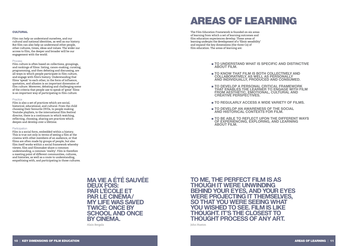

#### **CULTURAL**

Film can help us understand ourselves, and our cultural and national identities, as well as our history. But film can also help us understand other people, other cultures, times, ideas and values. The wider our access to film, the deeper and broader will be our engagement with the world.

#### Process

Film culture is often based on collections, groupings, and rankings of films: listing, canon-making, curating, programming, and then debating and discussing, are all ways in which people participate in film culture, and engage with film's history. Understanding that films 'speak' to each other, in the form of influence, quotation, and allusion is an important dimension of film culture. Moreover, debating and challenging some of the criteria that people use to speak of 'great' films is an important way of participating in film culture.

#### Practice

Film is also a set of practices which are social, historical, educational, and cultural. From the child choosing their favourite DVDs, to people making Youtube playlists, to the international film festival director, there is a continuum in which watching, reflecting, choosing, sharing are practices which deepen and develop over a lifetime.

#### Participation

Film is a social form, embedded within a history. This is true not only in terms of seeing a film at the cinema with other members of an audience, or that films are often made by groups of people, but also film itself works within a social framework whereby viewer, film and filmmaker share a common understanding, a common 'reality'. Film is therefore a meeting point of different communities, cultures, and histories, as well as a route to understanding, empathising with, and participating in those cultures.

### AREAS OF LEARNING

The Film Education Framework is founded on six areas of learning from which a set of learning outcomes and film education experiences develop. These areas of learning underpin the development of a 'filmic sensibility' and expand the key dimensions (the three Cs) of film education. The areas of learning are:

- **TO UNDERSTAND WHAT IS SPECIFIC AND DISTINCTIVE ABOUT FILM.**
- **TO KNOW THAT FILM IS BOTH COLLECTIVELY AND COLLABORATIVELY, AS WELL AS PERSONALLY AND INDIVIDUALLY, PRODUCED AND CONSUMED.**
- **TO DEVELOP A PERSONAL CRITICAL FRAMEWORK THAT ENABLES THE LEARNER TO ENGAGE WITH FILM FROM AESTHETIC, EMOTIONAL, CULTURAL AND CREATIVE PERSPECTIVES.**
- **TO REGULARLY ACCESS A WIDE VARIETY OF FILMS.**
- **TO DEVELOP AN AWARENESS OF THE SOCIAL AND HISTORICAL CONTEXTS FOR FILM.**
- **OF EXPERIENCING, EXPLORING, AND LEARNING ABOUT FILM.**

 ■ **TO BE ABLE TO REFLECT UPON THE DIFFERENT WAYS** 



**MA VIE A ÉTÉ SAUVÉE PAR L'ÉCOLE ET<br>PAR LE CINÉMA MY LIFE WAS SAVED TWICE: ONCE BY SCHOOL AND ONCE BY CINEMA.**

Alain Bergala

**TO ME, THE PERFECT FILM IS AS THOUGH IT WERE UNWINDING BEHIND YOUR EYES, AND YOUR EYES WERE PROJECTING IT THEMSELVES, SO THAT YOU WERE SEEING WHAT YOU WISHED TO SEE. FILM IS LIKE THOUGHT. IT'S THE CLOSEST TO THOUGHT PROCESS OF ANY ART.**

John Huston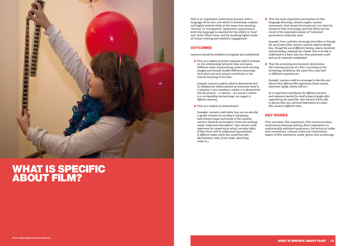

### WHAT IS SPECIFIC ABOUT FILM?

Film is an 'expressive audiovisual process' with a language all its own, one which is extremely complex and highly evolved while at the same time seeming 'obvious' or 'transparent'. Systematic acquaintance with this language is essential for the ability to 'read' and 'write' filmic texts, and for enabling higher levels of critical viewing and aesthetic engagement.

#### **OUTCOMES**

■ Film as a *medium of artistic expression* which is based on the relationship between time and space. Different ways of presenting consecutive moving images and sounds enable different meanings. Each shot and each sound contributes to the overall meaning of the film.

Learners should be enabled to recognise and understand:

 *Example: Learners could be asked to demonstrate that by changing the relative position of consecutive shots in a sequence, a new meaning is created, or to demonstrate that the presence – or absence – of a sound in relation to a corresponding moving image, can suggest a different meaning.*

■ Film as a *medium* of *communication* 

■ That the main expressive parameters of film language (framing, camera angles, camera movement, time-based structures etc.) are directly related to film technology and that films are the result of the expressive power of 'technical' parameters creatively used.

■ That the screening environment determines the viewing process of a film: according to the screening conditions, the same film may lead to different experiences.

 *Examples: Learners could realise how one can describe a specific situation by recording it and playing back moving images and sounds of this situation. Learners should be encouraged to create and exchange simple 'audiovisual descriptions'. Also, learners could experiment by comparing an actual, everyday object of their choice with its audiovisual representation in different modes which they would then film (documentary mode, fiction mode, advertising mode etc.).*

*Example: From a selection of excerpts from films or through the use of short films, learners could be asked to identify how, through the use of different framing, camera movement and positioning, meanings are created. Also to be able to understand in a basic way how these parameters work and can be creatively manipulated.*

*Example: Learners could be encouraged to describe and discuss their different film experiences (home cinema, classroom, laptop, cinema hall etc.)* 

 *Or to experiment and discuss the different reactions and responses reported by small groups of people after experiencing the same film. Also learners will be able to discuss their own, personal impressions of a given film viewed at different times.*

#### KEY WORDS

Film narration, film expression, film communication, audiovisual meaning making, direct experience vs. audiovisually mediated experience, the technical codes and conventions, cultural codes and conventions, aspect of film aesthetics, mode, genre, film screenings.

#### WHAT IS SPECIFIC ABOUT FILM? | 13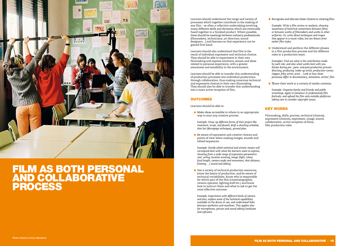

### FILM AS BOTH PERSONAL AND COLLABORATIVE PROCESS

Learners should understand the range and variety of processes which together contribute to the making of any film – as often a collective undertaking involving many different skills and decisions which are eventually fused together in a finished product. Where possible, there should be meetings between industry professionals (filmmakers, technicians, art directors, sound designers…) and learners so that experience can be gained first hand.

Learners should also understand that film is the result of individual expressive and technical choices. They should be able to experiment in their own filmmaking and express emotions, senses and ideas related to personal experience, with a greater awareness and sensibility to the environment.

- Make ideas accessible to others in an appropriate way to start any creative process.
- *Example: Draw up different forms of their project like treatment, script, storyboard, draft a shooting schedule, shot list (découpage technique), ground plan.*
- Be aware of expressive and creative choices and points of view when making images, sounds and edited sequences.

Learners should be able to transfer this understanding of production processes into individual productions through collaboration, thus making conscious technical and expressive choices in their own filmmaking. They should also be able to transfer this understanding into a more active reception of film.

#### **OUTCOMES**

■ Use a variety of technical production resources, know the basics of production, and be aware of technical variabilities. Know who is responsible for which part of the film (cinematographer, camera operator, lighting staff etc.) and know how to instruct them and what to ask to get the most effective outcome.

Learners should be able to:

■ Understand and perform the different phases in a film production process and the different roles in a production team.

 *Example: Decide which technical and artistic means will correspond best with what the learners want to express, choosing from a wide range of expressive parameters: cast, acting, location scouting, image (light, colour, focal length, camera angle and movement, shot distance, framing… ) sound and editing.*

 *Example: Experiment with different kinds of camera and lens, explore some of the technical capabilities available on the device in use, and understand links between aesthetics and machines. This applies also for microphones, picture and sound editing hardware and software.*

 *Example: Write a film review or analysis, showing awareness of historical connections between films, or between works of filmmakers and works in other artforms. Or, write about techniques and tropes that appear in a music video, but are drawn from earlier film styles.*

 *Examples: Find out what is the contribution made by each role, and also what works best with you. Rotate during pre-, para- and post-production process: directing, producing, make-up artist, production runner, clapper, foley artist, actor… Look at how these processes differ in documentary, animation, artists' film.*

■ Share their work in a variety of media contexts.

 *Example: Organise family and friends and public screenings, apply to (amateur or professional) film festivals, and upload the film onto suitable platforms taking care to consider copyright issues.*

#### KEY WORDS

Filmmaking, skills, process, technical (choices), expressive (choices), expression, image, sound, collaboration, active reception of films, film production roles.

■ Recognise and discuss these choices in viewing film.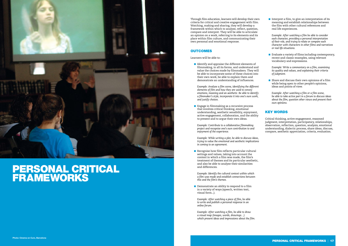

### PERSONAL CRITICAL FRAMEWORKS

Through film education, learners will develop their own criteria for critical and creative engagement with film. Watching, making and sharing, they will develop a framework within which to analyse, reflect, question, compare and interpret. They will be able to articulate an opinion on a work, referring to its elements and its place within film culture, and communicating their own personal and emotional response.

#### **OUTCOMES**

■ Identify and appraise the different elements of filmmaking, in all its forms, and understand and value the choices made by filmmakers. They will be able to incorporate some of these choices into their own work, be able to explain them and demonstrate an understanding of influences.

Learners will be able to:

■ Engage in filmmaking as a recursive process that involves critical thinking, emotional understanding, aesthetic sensibility, enjoyment, active engagement, collaboration, and the ability to present and to argue their own ideas.

■ Recognise how film reflects particular cultural settings and values, taking into account the context in which a film was made, the film's treatment of themes and its particular aesthetic, and also be able to analyse their similarities and differences.

 *Example: Analyse a film scene, identifying the different elements of film and how they are used to convey emotions, meaning and an aesthetic. Be able to identify a filmmaker's style, incorporate it into one's own work, and justify choices.*

■ Demonstrate an ability to respond to a film in a variety of ways (speech, written text, visual form...).

■ Interpret a film, to give an interpretation of its meaning and establish relationships between the film with other cultural references and real life experiences.

 *Example: Contribute to a collaborative filmmaking project and recognise one's own contribution to and enjoyment of the experience.*

■ Evaluate a variety of films including contemporary, recent and classic examples, using relevant vocabulary and expressions.

 *Example: While writing a plot, be able to discuss ideas, trying to value the emotional and aesthetic implications in coming to an agreement.*

■ Share and discuss their own opinions of a film while being open to other people's opinions, ideas and points of view.

 *Example: Identify the cultural context within which a film was made and establish connections between this and the film's themes.*

 *Example: After watching a piece of film, be able to write and publish a personal response in an online forum.*

 *Example: After watching a film, be able to draw a visual map (images, words, drawings…) which present ideas and impressions about the film.*  *Example: After watching a film be able to consider each character, providing a personal interpretation of their role, and trying to relate or compare each character with characters in other films and narratives or real life situations.*

 *Example: Write a commentary on a film, examining its quality and values, and explaining their criteria of judgment.* 

 *Example: After watching a film or a film scene, be able to take active part in a forum to discuss ideas about the film, question other views and present their own opinions.*

#### KEY WORDS

Critical thinking, active engagement, reasoned judgment, interpretation, participatory, relationships, observation, reflection, question, analysis, emotional understanding, dialectic process, share ideas, discuss, compare, aesthetic appreciation, criteria, evaluation.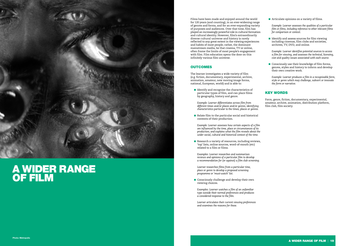

### A WIDER RANGE OF FILM

Films have been made and enjoyed around the world for 120 years (and counting), in an ever-widening range of genres and forms, and for an ever-expanding variety of purposes and audiences. Over that time, film has played an increasingly powerful role in cultural formation and cultural identity. However, film's extraordinarily diverse cultural universe and history is rarely reflected to any great extent in the viewing experiences and habits of most people; rather, the dominant mainstream media, be that cinema, TV or online, often frame the limits of most people's engagement with film. Film education opens the door on this infinitely various film universe.

#### **OUTCOMES**

■ Identify and recognise the characteristics of particular types of film, and can place films by geography, history and genre.

■ Relate film to the particular social and historical contexts of their production.

The learner investigates a wide variety of film (e.g. fiction, documentary, experimental, archive, animation, amateur, new moving image forms, national, European, world) and is able to:

■ Research a variety of resources, including reviews, 'top' lists, online sources, word-of-mouth (etc) related to a film or films.

■ Consciously challenge and develop their own viewing choices.

 *Example: Learner differentiates across film from different times and/or places and/or genres, identifying characteristics particular to the times, places or genres.*

■ Identify and assess sources for film viewing including cinemas, film clubs and societies, archives, TV, DVD, and online.

 *Example: Learner assesses how certain aspects of a film are influenced by the time, place or circumstances of its production; and explains what the film reveals about the wider social, cultural and historical context of the time.*

■ Consciously use their knowledge of film forms, genres, styles and history to inform and develop their own creative work.

 *Examples: Learner researches and summarises reviews and opinions of a particular film to develop a recommendation for (or against) a film club screening.*

 *Learner researches films from a particular time, place or genre to develop a proposed screening programme or 'must-watch' list.*

 *Examples: Learner watches a film of an unfamiliar type outside their normal preferences and produces a considered response to the film.*

 *Learner articulates their current viewing preferences and examines the reasons for these.*

 *Example: Learner assesses the qualities of a particular film or films, including reference to other relevant films for comparison or context.*

 *Example: Learner identifies potential sources to access a film for viewing, and assesses the technical, licensing, cost and quality issues associated with each source.*

 *Example: Learner produces a film in a recognisable form, style or genre which may challenge, subvert or innovate the form or narrative.*

#### KEY WORDS

Form, genre, fiction, documentary, experimental, amateur, archive, animation, distribution platform, film club, film society.

■ Articulate opinions on a variety of films.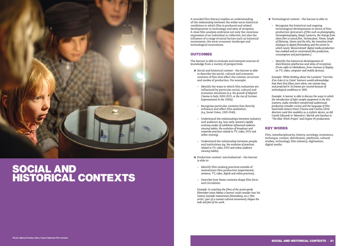

### SOCIAL AND HISTORICAL CONTEXTS

A rounded film literacy implies an understanding of the relationship between the wider socio-historical conditions in which film is produced and related developments in technology and sites of reception. A close film analysis embraces not only the conscious expression of an individual or collective, but also the influence of a range of social factors such as historical movements, the socio-economic landscape and technological innovations.

#### **OUTCOMES**

The learner is able to evaluate and interpret sources of knowledge from a variety of perspectives:

- Social and historical context the learner is able to describe the social, cultural and economic contexts of film that affect the content, structure and modes of production. For example:
- Identify the ways in which film industries are influenced by particular social, cultural and economic situations *(e.g. the growth of Migrant Cinema in Italy, 2000-2015, or the rise of German Expressionism in the 1920s).*
- Recognise particular contexts that directly influence and affect film aesthetics: *(e.g. Soviet Union, 1920-1940)*.
- Understand the relationships between industry and audience *(eg. how early cinema's rapidly evolving modes of exhibition influenced audience viewing habits; the evolution of broadcast and corporate practices related to TV, video, DVD and online viewing).*
- Understand the relationship between people and institutions *(eg. the evolution of practices related to TV, video, DVD and online audience viewing habits).*
- Production context: non/industrial the learner is able to:
- Identify film-making practices outside of mainstream film production *(experimental, amateur, TV, video, digital and online practices).*
- Describe how these contexts shape film form and circulation.
- Technological context the learner is able to:
	- Recognise the historical and ongoing technological developments in terms of film production *(precursors of film such as photography, chronophotography, Magic Lanterns, the change from silent film to sound film, Technicolour, 70mm, length of filmstrip, 16mm and the 60s, the transition from analogue to digital filmmaking and the extent to which newly 'democratised' digital media production has enabled and/or constrained film production, consumption and participation.)*
- Identify the historical development of distribution platforms and sites of reception *(From cafés to nikolodeons, from cinemas to display on TV, video, computer and mobile devices).*

 *Example: In watching the films of the avant-garde filmmaker Jonas Mekas a learner could consider how his context (outside mainstream filmmaking; as a 'film artist'; part of a counter-cultural movement) shapes the look and feel of his work.*

 *Example: While thinking about the Lumières' 'L'arrivée d'un train à La Ciotat' learners would acknowledge that their first films were silent, one minute long and projected in 16 frames per second because of technological conditions in 1895.*

 *Example: A learner is able to discuss the ways in which the introduction of light weight equipment in the 60s (camera, audio recorder) transformed audiovisual production (smaller crews) and the language of film: hand-held camera Direct Cinema and Cinéma vérité directors used this modality as a stylistic device, as did Gareth Edwards in 'Monsters'; Myrick and Sanchez in 'The Blair Witch Project' and Dogme 95 productions.*

#### KEY WORDS

Film, interdisciplinarity, history, sociology, economics, technique, context, distribution, platforms, cultural studies, technology, film industry, digitisation, digital media.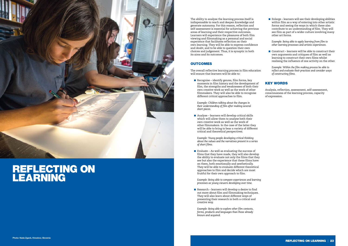

### REFLECTING ON LEARNING

The overall reflective learning process in film education will ensure that learners will be able to:

The ability to analyse the learning process itself is indispensable to reach and deepen knowledge and generate autonomy. For this reason, reflection and self-assessment is essential for achieving the previous areas of learning and their respective outcomes. Learners will experience the pleasures of both film viewing and filmmaking as a personal and social experience that facilitates reflection on their own learning. They will be able to express confidence and doubt, and to be able to question their own choices and judgement. Thus, it is synoptic in both its aims and its outcomes.

#### **OUTCOMES**

■ Recognise – identify genres, film forms, key moments in film history and the development of film, the strengths and weaknesses of both their own creative work as well as the work of other filmmakers. They will also be able to recognise different critical approaches to film.

■ Analyse – learners will develop critical skills which will allow them to analyse both their own creative work as well as the work of other filmmakers. In the case of the latter they will be able to bring to bear a variety of different critical and theoretical perspectives.

 $\blacksquare$  Evaluate – As well as evaluating the success of films that they have made, they will also develop the ability to evaluate not only the films that they see but also the experience that these films have on them, both emotionally and aesthetically. They will be able to evaluate different theoretical approaches to film and decide which are most fruitful for their own approach to film.

 *Example: Children talking about the changes in their understanding of film after making several short pieces.*

■ Research – learners will develop a desire to find out more about film and filmmaking techniques. They will also learn about different ways of presenting their research in both a critical and creative way.

■ Enlarge – learners will see their developing abilities within film as a way of entering into other artistic forms and seeing the ways in which these also contribute to an understanding of film. They will see film as part of a wider culture involving many other art forms.

■ Construct – learners will be able to construct their own arguments and critiques of film as well as learning to construct their own films whilst realising the influence of one activity on the other.

 *Example: Young people developing critical thinking about the values and the narratives present in a series of short films.*

 *Example: Being able to compare experiences and learning processes as young viewers developing over time.*

 *Example: Being able to explore other film contexts, forms, products and languages than those already known and acquired.*

 *Example: Being able to apply learning from film to other learning processes and artistic experiences.*

 *Example: Within the film making process be able to reflect and evaluate their practices and consider ways of constructing films.*

#### KEY WORDS

Analysis, reflection, assessment, self-assessment, consciousness of the learning process, capacity of expression.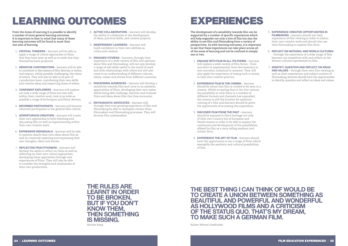# LEARNING OUTCOMES

From the Areas of Learning it is possible to identify a number of more general learning outcomes. It is important to bear in mind that many of these learning outcomes will be found in more than one area of learning.

- 1. **CRITICAL THINKERS** learners will be able to apply a range of critical approaches to films that they have seen as well as to work that they themselves have produced.
- 2. **SENSITIVE CONTRIBUTORS** learners will be able to contribute to discussions of film directly, or online, and respect, whilst possibly challenging, the views of others. They will also be able to be part of a production team, contributing their own skills and creative ideas and respecting those of others.
- 3. **CONFIDENT EXPLORERS** learners will explore not only a wide range of films but also will, within their creative work, look at as wide as possible a range of techniques and filmic devices.
- 4. **INFORMED PARTICIPANTS** learners will become informed participants in the general film culture.
- 5. **ADVENTUROUS CREATORS** learners will create their own approaches to both watching and discussing film as well as experimenting within their own creative work.
- 6. **EXPRESSIVE INDIVIDUALS** learners will be able to express clearly their own ideas about film as well as creatively exploring and expressing their own thoughts, ideas and stories.
- 7. **REFLECTIVE PRACTITIONERS** learners will develop the skills to reflect on films as well as reflecting on their own critical approaches, developing these approaches through new experiences of films. They will also be able to consider the strengths and weaknesses of their own productions.
- 8. **ACTIVE COLLABORATORS** learners will develop the ability to collaborate in the development of ideas, practical skills, and creative projects.
- 9. **INDEPENDENT LEARNERS** learners will build confidence in their own abilities as critics and creators.
- 10. **ENGAGED CITIZENS** learners, through their experience of a wide variety of film and opinions about film and filmmaking, will not only develop a range of soft skills useful in the world of work and with relationships with others but will also come to an understanding of different cultures, tastes, values and stories from different countries.
- 11. **DISCERNING AUDIENCES** learners will develop a sensitivity towards film and come to an aesthetic appreciation of films, developing their own tastes whilst being able challenge, discover and evaluate films and ideas about film that they encounter.
- 12. **ENTHUSIASTIC ADVOCATES** learners will, through their ever growing experience of film and filmmaking be able to champion certain films, filmmakers and filmmaking processes. They will become film ambassadors.

## EXPERIENCES

The development of a sensibility towards film can be supported by a number of specific experiences which will help engender not only a love of film but also the ability to see film and filmmaking from a variety of perspectives. As with learning outcomes, it is important to see that these experiences can take place across all of the areas of learning and not be confined to simply one or two.

- 1. **ENGAGE WITH FILM IN ALL ITS FORMS** learners will explore a wide variety of film forms – from narrative to experimental, from documentary to non-narrative, industrial to amateur. They will also apply the experience of seeing such a variety to their own creative practice.
- 2. **EXPERIENCE FILM IN THE CINEMA** learners should be aware that film is created to be seen in a cinema. Whilst accepting that in the 21st century the possibility to view films in a number of different formats and channels has expanded, the cinema is still the location for optimum viewing of a film and learners should be given the opportunity of accessing this experience.
- 3. **DISCOVER FILM FROM THE PAST** learners should be exposed to film's heritage not only of their own country but of European and World cinema in order to be able to explore the continuum and development of the possibilities offered by film as a story telling medium and artistic form.
- 4. **EXPERIENCE THE ART OF FILM** learners should have the opportunity to see a range of films which exemplify the aesthetic and cultural possibilities of film.
- 5. **EXPERIENCE CREATIVE OPPORTUNITIES IN FILMMAKING** – learners should use their experience of film viewing in order to inform their own creative work and should also use their filmmaking to explore film form.
- 6. **REFLECT ON NATIONAL AND WORLD CULTURES** – through the experience of a wide range of film learners can empathise with and reflect on the diverse cultures represented on film.
- 7. **IDENTIFY, QUESTION AND REFLECT ON IDEAS AND VALUES** – through their own film viewing as well as their experiences and subject matters of filmmaking, learners should have the opportunities to identify, question and reflect on ideas and values.

**THE RULES ARE LEARNT IN ORDER TO BE BROKEN, BUT IF YOU DON'T KNOW THEM, THEN SOMETHING IS MISSING.** Nicolas Roeg

### **THE BEST THING I CAN THINK OF WOULD BE TO CREATE A UNION BETWEEN SOMETHING AS BEAUTIFUL AND POWERFUL AND WONDERFUL AS HOLLYWOOD FILMS AND A CRITICISM OF THE STATUS QUO. THAT'S MY DREAM, TO MAKE SUCH A GERMAN FILM.**

Rainer Werner Fassbinder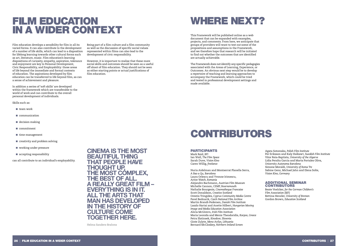### WHERE NEXT?

This Framework will be published online as a web document that can be expanded with examples, projects, and comments. From here, we anticipate that groups of providers will want to test out some of the propositions and assumptions in the Framework, and we therefore hope that research will be initiated to find out whether the outcomes that are identified are actually achievable.

The Framework does not identify any specific pedagogies associated with the Areas of Learning, Experience, or Outcomes. An obvious next step would be to develop a repertoire of teaching and learning approaches to accompany the Framework, which could be tried and tested in professional development settings and made available.

### FILM EDUCATION IN A WIDER CONTEXT

Film education develops a sensibility for film in all its varied forms. It can also contribute to the development of a number of life skills, which can lead to a disposition for lifelong learning towards other cultural forms such as art, literature, music. Film education's learning dispositions of curiosity, empathy, aspiration, tolerance and enjoyment are key to Personal Development, Civic Responsibility, and Employability: those areas of life beyond the immediate and formal contexts of education. The aspirations developed by film education can be transferred to life beyond film, as can a sense of achievement and pleasure.

In addition a series of 'soft skills' are developed within the framework which are transferable to the world of work and can contribute to the overall personal development of individuals.

Skills such as:

- team work
- communication
- decision making
- commitment
- time management
- creativity and problem solving
- working under pressure
- accepting responsibility

can all contribute to an individual's employability.

#### ADDITIONAL SEMINAR **CONTRIBUTORS**

Being part of a film culture and a film community as well as the discussion of specific social values represented within films can also lead to the development of civic responsibility.

However, it is important to realise that these more social skills and outcomes should be seen as a useful off shoot of film education. They should not be seen as either starting points or actual justifications of film education.

**CINEMA IS THE MOST** 

**BEAUTIFUL THING** 

**THAT PEOPLE HAVE THOUGHT UP, THE MOST COMPLEX, THE BEST OF ALL. A REALLY GREAT FILM – EVERYTHING IS IN IT. ALL THE ARTS THAT MAN HAS DEVELOPED IN THE HISTORY OF CULTURE COME TOGETHER HERE.**

Helma Sanders-Brahms



## CONTRIBUTORS

#### PARTICIPANTS

Mark Reid, *BFI* Ian Wall, *The Film Space* Sarah Duve, *Vision Kino* Caren Willig, *freelance*

Nuria Aidelman and Montserrat Planella Serra, *A Bao a Qu*, *Barcelona* Laura Orlescu and Yvonne Irimescu, *Active Watch*, *Romania* Alejandro Bachmann, *Austrian Film Museum* Michelle Cannon, *CEMP*, *Bournemouth* Nathalie Bourgeois, *Cinematheque Francaise* Scott Donaldson, *Creative Scotland* Orestis Tringides, *Cyprus Community Media Centre* Pavel Bednarik, *Czech National Film Archive* Martin Brandt-Pedersen, *Danish Film Institute* Laszlo Hartai and Anette Hilbert, *Hungarian Moving Image and Media Education Association* Alicia McGivern, *Irish Film Institute* Maria Leonida and Menis Theodoridis, *Karpos*, *Greece* Petra Slatinsek, *Kinodvor*, *Slovenia* Ginte Zulyte, *Meno Avilys*, *Lithuania* Bernard McCloskey, *Northern Ireland Screen*

Agata Sotomska, *Polish Film Institute* Per Eriksson and Kaly Halkawt, *Swedish Film Institute* Vitor Reia-Baptista, *University of the Algarve* Lidia Peralta Garcia and Marta Portales Oliva, *University Autonoma Barcelona* Simone Moraldi, *University of Roma Tre* Sabine Genz, Michael Jahn and Elena Solte, *Vision Kino*, *Germany*

Beate Voelcker, *for the German Children's Film Association (BJF)* Bettina Henzler, *University of Bremen* Gordon Brown, *Education Scotland*